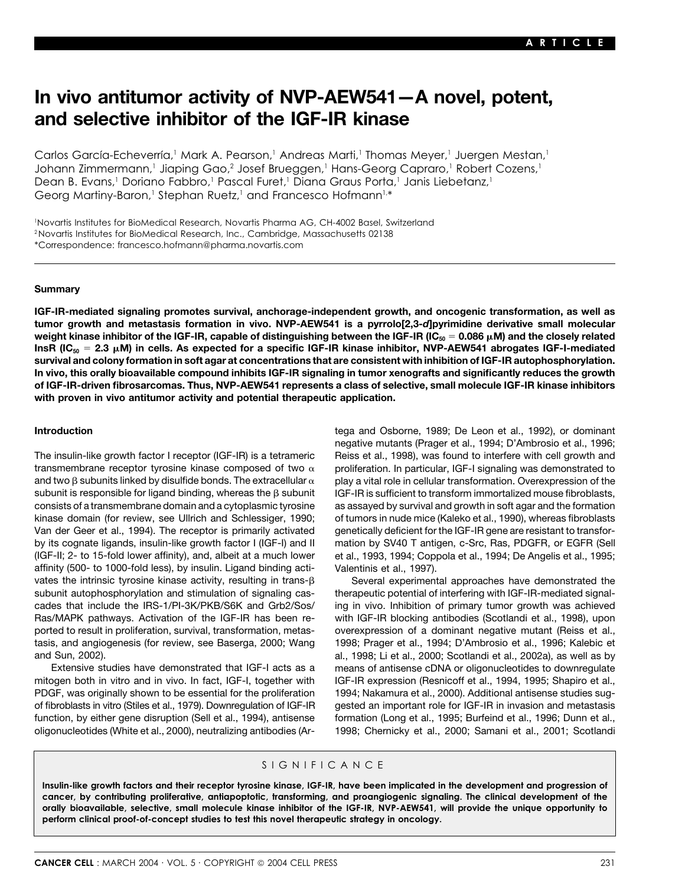# **In vivo antitumor activity of NVP-AEW541—A novel, potent, and selective inhibitor of the IGF-IR kinase**

Carlos García-Echeverría,<sup>1</sup> Mark A. Pearson,<sup>1</sup> Andreas Marti,<sup>1</sup> Thomas Meyer,<sup>1</sup> Juergen Mestan,<sup>1</sup> Johann Zimmermann,<sup>1</sup> Jiaping Gao,<sup>2</sup> Josef Brueggen,<sup>1</sup> Hans-Georg Capraro,<sup>1</sup> Robert Cozens,<sup>1</sup> Dean B. Evans,<sup>1</sup> Doriano Fabbro,<sup>1</sup> Pascal Furet,<sup>1</sup> Diana Graus Porta,<sup>1</sup> Janis Liebetanz,<sup>1</sup> Georg Martiny-Baron,<sup>1</sup> Stephan Ruetz,<sup>1</sup> and Francesco Hofmann<sup>1,\*</sup>

1 Novartis Institutes for BioMedical Research, Novartis Pharma AG, CH-4002 Basel, Switzerland 2Novartis Institutes for BioMedical Research, Inc., Cambridge, Massachusetts 02138 \*Correspondence: francesco.hofmann@pharma.novartis.com

### **Summary**

**IGF-IR-mediated signaling promotes survival, anchorage-independent growth, and oncogenic transformation, as well as tumor growth and metastasis formation in vivo. NVP-AEW541 is a pyrrolo[2,3-***d***]pyrimidine derivative small molecular weight kinase inhibitor of the IGF-IR, capable of distinguishing between the IGF-IR (IC<sub>50</sub> = 0.086 μM) and the closely related InsR (IC50 2.3 M) in cells. As expected for a specific IGF-IR kinase inhibitor, NVP-AEW541 abrogates IGF-I-mediated survival and colony formation in soft agar at concentrations that are consistent with inhibition of IGF-IR autophosphorylation. In vivo, this orally bioavailable compound inhibits IGF-IR signaling in tumor xenografts and significantly reduces the growth of IGF-IR-driven fibrosarcomas. Thus, NVP-AEW541 represents a class of selective, small molecule IGF-IR kinase inhibitors with proven in vivo antitumor activity and potential therapeutic application.**

transmembrane receptor tyrosine kinase composed of two  $\alpha$ and two  $\beta$  subunits linked by disulfide bonds. The extracellular  $\alpha$ subunit is responsible for ligand binding, whereas the  $\beta$  subunit  $I$  GF-IR is sufficient to transform immortalized mouse fibroblasts, consists of a transmembrane domain and a cytoplasmic tyrosine as assayed by survival and growth in soft agar and the formation kinase domain (for review, see Ullrich and Schlessiger, 1990; of tumors in nude mice (Kaleko et al., 1990), whereas fibroblasts Van der Geer et al., 1994). The receptor is primarily activated genetically deficient for the IGF-IR gene are resistant to transforby its cognate ligands, insulin-like growth factor I (IGF-I) and II mation by SV40 T antigen, c-Src, Ras, PDGFR, or EGFR (Sell (IGF-II; 2- to 15-fold lower affinity), and, albeit at a much lower et al., 1993, 1994; Coppola et al., 1994; De Angelis et al., 1995; affinity (500- to 1000-fold less), by insulin. Ligand binding acti- Valentinis et al., 1997). vates the intrinsic tyrosine kinase activity, resulting in trans- $\beta$  Several experimental approaches have demonstrated the subunit autophosphorylation and stimulation of signaling cas- therapeutic potential of interfering with IGF-IR-mediated signalcades that include the IRS-1/PI-3K/PKB/S6K and Grb2/Sos/ ing in vivo. Inhibition of primary tumor growth was achieved Ras/MAPK pathways. Activation of the IGF-IR has been re- with IGF-IR blocking antibodies (Scotlandi et al., 1998), upon ported to result in proliferation, survival, transformation, metas- overexpression of a dominant negative mutant (Reiss et al., tasis, and angiogenesis (for review, see Baserga, 2000; Wang 1998; Prager et al., 1994; D'Ambrosio et al., 1996; Kalebic et and Sun, 2002). al., 1998; Li et al., 2000; Scotlandi et al., 2002a), as well as by

mitogen both in vitro and in vivo. In fact, IGF-I, together with IGF-IR expression (Resnicoff et al., 1994, 1995; Shapiro et al., PDGF, was originally shown to be essential for the proliferation 1994; Nakamura et al., 2000). Additional antisense studies sugfunction, by either gene disruption (Sell et al., 1994), antisense formation (Long et al., 1995; Burfeind et al., 1996; Dunn et al., oligonucleotides (White et al., 2000), neutralizing antibodies (Ar- 1998; Chernicky et al., 2000; Samani et al., 2001; Scotlandi

**Introduction** tega and Osborne, 1989; De Leon et al., 1992), or dominant negative mutants (Prager et al., 1994; D'Ambrosio et al., 1996; The insulin-like growth factor I receptor (IGF-IR) is a tetrameric Reiss et al., 1998), was found to interfere with cell growth and proliferation. In particular, IGF-I signaling was demonstrated to play a vital role in cellular transformation. Overexpression of the

Extensive studies have demonstrated that IGF-I acts as a means of antisense cDNA or oligonucleotides to downregulate of fibroblasts in vitro (Stiles et al., 1979). Downregulation of IGF-IR gested an important role for IGF-IR in invasion and metastasis

### SIGNIFICANCE

**Insulin-like growth factors and their receptor tyrosine kinase, IGF-IR, have been implicated in the development and progression of cancer, by contributing proliferative, antiapoptotic, transforming, and proangiogenic signaling. The clinical development of the orally bioavailable, selective, small molecule kinase inhibitor of the IGF-IR, NVP-AEW541, will provide the unique opportunity to perform clinical proof-of-concept studies to test this novel therapeutic strategy in oncology.**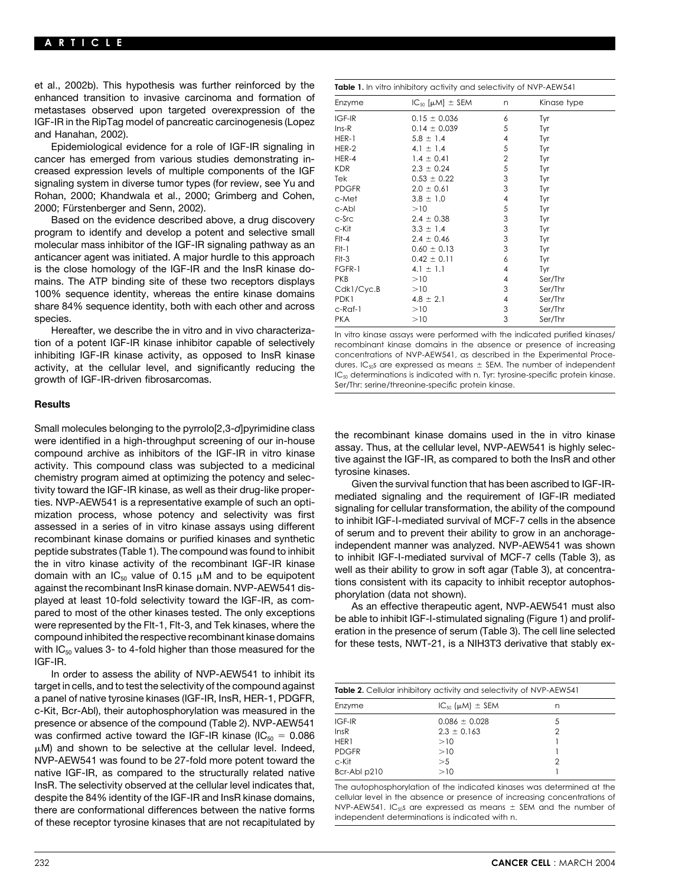et al., 2002b). This hypothesis was further reinforced by the enhanced transition to invasive carcinoma and formation of<br>metastases observed upon targeted overexpression of the<br>IGF-IR in the RipTag model of pancreatic carcinogenesis (Lopez<br>and Hanahan, 2002).

Epidemiological evidence for a role of IGF-IR signaling in cancer has emerged from various studies demonstrating increased expression levels of multiple components of the IGF<br>signaling system in diverse tumor types (for review, see Yu and Rohan, 2000; Khandwala et al., 2000; Grimberg and Cohen, 2000; Fürstenberger and Senn, 2002).

Based on the evidence described above, a drug discovery program to identify and develop a potent and selective small molecular mass inhibitor of the IGF-IR signaling pathway as an anticancer agent was initiated. A major hurdle to this approach is the close homology of the IGF-IR and the InsR kinase domains. The ATP binding site of these two receptors displays 100% sequence identity, whereas the entire kinase domains share 84% sequence identity, both with each other and across species. species. PKA 10 3 Ser/Thr

Hereafter, we describe the in vitro and in vivo characteriza-<br>in vitro kinase assays were performed with the indicated purified kinases/<br>recombinant kinase domains in the absence or presence of increasing inhibiting IGF-IR kinase activity, as opposed to InsR kinase concentrations of NVP-AEW541, as described in the Experimental Proce-<br>activity at the cellular level, and significantly reducing the dures. IC<sub>50</sub>5 are expresse

| Table 1. In vitro inhibitory activity and selectivity of NVP-AEW541 |                                |                |             |  |  |  |
|---------------------------------------------------------------------|--------------------------------|----------------|-------------|--|--|--|
| Enzyme                                                              | $IC_{50}$ [ $\mu$ M] $\pm$ SEM | n              | Kinase type |  |  |  |
| IGF-IR                                                              | $0.15 \pm 0.036$               | 6              | Tyr         |  |  |  |
| $Ins-R$                                                             | $0.14 \pm 0.039$               | 5              | Tyr         |  |  |  |
| HER-1                                                               | $5.8 \pm 1.4$                  | 4              | Tyr         |  |  |  |
| HER-2                                                               | 4.1 $\pm$ 1.4                  | 5              | Tyr         |  |  |  |
| HER-4                                                               | $1.4 \pm 0.41$                 | $\overline{2}$ | Tyr         |  |  |  |
| <b>KDR</b>                                                          | $2.3 \pm 0.24$                 | 5              | Tyr         |  |  |  |
| Tek                                                                 | $0.53 \pm 0.22$                | 3              | Tyr         |  |  |  |
| <b>PDGFR</b>                                                        | $2.0 \pm 0.61$                 | 3              | Tyr         |  |  |  |
| c-Met                                                               | $3.8 \pm 1.0$                  | 4              | Tyr         |  |  |  |
| c-Abl                                                               | >10                            | 5              | Tyr         |  |  |  |
| c-Src                                                               | $2.4 \pm 0.38$                 | 3              | Tyr         |  |  |  |
| c-Kit                                                               | $3.3 \pm 1.4$                  | 3              | Tyr         |  |  |  |
| $F1-4$                                                              | $2.4 \pm 0.46$                 | 3              | Tyr         |  |  |  |
| $F1-1$                                                              | $0.60 \pm 0.13$                | 3              | Tyr         |  |  |  |
| $F1-3$                                                              | $0.42 \pm 0.11$                | 6              | Tyr         |  |  |  |
| FGFR-1                                                              | $4.1 \pm 1.1$                  | 4              | Tyr         |  |  |  |
| <b>PKB</b>                                                          | >10                            | 4              | Ser/Thr     |  |  |  |
| Cdk1/Cyc.B                                                          | >10                            | 3              | Ser/Thr     |  |  |  |
| PDK1                                                                | $4.8 \pm 2.1$                  | 4              | Ser/Thr     |  |  |  |
| c-Raf-1                                                             | >10                            | 3              | Ser/Thr     |  |  |  |
| <b>PKA</b>                                                          | >10                            | 3              | Ser/Thr     |  |  |  |

recombinant kinase domains in the absence or presence of increasing activity, at the cellular level, and significantly reducing the dures. IC<sub>so</sub>s are expressed as means  $\pm$  SEM. The number of independent  $\frac{C_{\text{so}}}{C_{\text{so}}}$  determinations is indicated with n. Tyr: tyrosine-specific pro

## **Results**

Small molecules belonging to the pyrrolo[2,3-d]pyrimidine class<br>we relatified in a high-throughput screening of our in-house<br>compound archive as inhibitors of the IGF-IR in vito kinase<br>compound archive as inhibitors of th IGF-IR.

In order to assess the ability of NVP-AEW541 to inhibit its target in cells, and to test the selectivity of the compound against<br>a panel of native tyrosine kinases (IGF-IR, InsR, HER-1, PDGFR, c-Kit, Bcr-Abl), their autophosphorylation was measured in the presence or absence of the compound (Table 2). NVP-AEW541 was confirmed active toward the IGF-IR kinase (IC $_{50}$  = 0.086  $\mu$ M) and shown to be selective at the cellular level. Indeed, NVP-AEW541 was found to be 27-fold more potent toward the native IGF-IR, as compared to the structurally related native InsR. The selectivity observed at the cellular level indicates that, The autophosphorylation of the indicated kinases was determined at the despite the 84% identity of the IGF-IR and InsR kinase domains, cellular level in the absence or presence of increasing concentrations of there are conformational differences between the native forms NVP-AEW541. IC<sub>50</sub>S are expressed as means  $\pm$  SEM and the number of there are proportional differences between the native forms independent determinations is of these receptor tyrosine kinases that are not recapitulated by

| <b>Table 2.</b> Cellular inhibitory activity and selectivity of NVP-AEW541 |   |  |  |  |  |
|----------------------------------------------------------------------------|---|--|--|--|--|
| $IC_{50}$ ( $\mu$ M) $\pm$ SEM                                             | n |  |  |  |  |
| $0.086 \pm 0.028$                                                          | 5 |  |  |  |  |
| $2.3 \pm 0.163$                                                            | 2 |  |  |  |  |
| >10                                                                        |   |  |  |  |  |
| >10                                                                        |   |  |  |  |  |
| >5                                                                         | っ |  |  |  |  |
| >10                                                                        |   |  |  |  |  |
|                                                                            |   |  |  |  |  |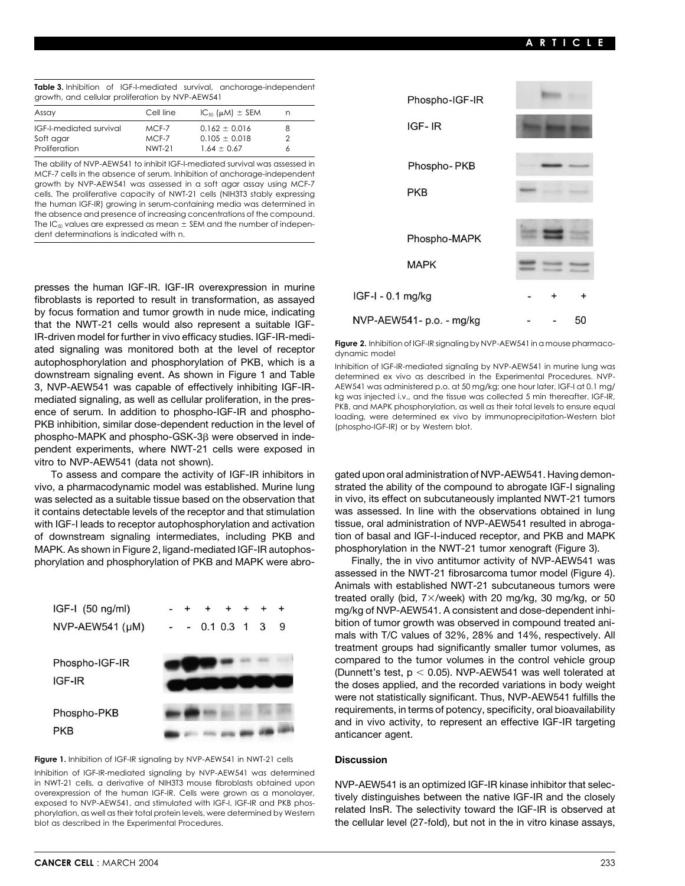|                                                  |  |  |  | <b>Table 3.</b> Inhibition of IGF-I-mediated survival, anchorage-independent |  |
|--------------------------------------------------|--|--|--|------------------------------------------------------------------------------|--|
| growth, and cellular proliferation by NVP-AEW541 |  |  |  |                                                                              |  |

| Assay                          | Cell line | $IC_{50}$ ( $\mu$ M) $\pm$ SEM | n |
|--------------------------------|-----------|--------------------------------|---|
| <b>IGF-I-mediated survival</b> | MCF-7     | $0.162 \pm 0.016$              | 8 |
| Soft agar                      | $MCF-7$   | $0.105 \pm 0.018$              | っ |
| Proliferation                  | NWT-21    | $1.64 \pm 0.67$                | 6 |

The ability of NVP-AEW541 to inhibit IGF-I-mediated survival was assessed in MCF-7 cells in the absence of serum. Inhibition of anchorage-independent growth by NVP-AEW541 was assessed in a soft agar assay using MCF-7 cells. The proliferative capacity of NWT-21 cells (NIH3T3 stably expressing the human IGF-IR) growing in serum-containing media was determined in the absence and presence of increasing concentrations of the compound. The IC<sub>50</sub> values are expressed as mean  $\pm$  SEM and the number of independent determinations is indicated with n.

presses the human IGF-IR. IGF-IR overexpression in murine fibroblasts is reported to result in transformation, as assayed by focus formation and tumor growth in nude mice, indicating that the NWT-21 cells would also represent a suitable IGF-IR-driven model for further in vivo efficacy studies. IGF-IR-medi-<br>ated signaling was monitored both at the level of receptor<br>autophosphorylation and phosphorylation of PKB, which is a<br>position of IGE-IP-mediated signaling PKB inhibition, similar dose-dependent reduction in the level of (phospho-IGF-IR) or by Western blot. phospho-MAPK and phospho-GSK-3<sub>B</sub> were observed in independent experiments, where NWT-21 cells were exposed in vitro to NVP-AEW541 (data not shown).

MAPK. As shown in Figure 2, ligand-mediated IGF-IR autophos- phosphorylation in the NWT-21 tumor xenograft (Figure 3). phorylation and phosphorylation of PKB and MAPK were abro- Finally, the in vivo antitumor activity of NVP-AEW541 was



**Figure 1.** Inhibition of IGF-IR signaling by NVP-AEW541 in NWT-21 cells **Discussion** Inhibition of IGF-IR-mediated signaling by NVP-AEW541 was determined<br>in NWT-21 cells, a derivative of NIH3T3 mouse fibroblasts obtained upon in NWT-21 cells, a derivative of NIH3T3 mouse fibroblasts obtained upon MVP-AEW541 is an optimized IGF-IR kinase inhibitor that selec-<br>overexpression of the human IGF-IR. Cells were grown as a monolayer, tively distinguish blot as described in the Experimental Procedures. the cellular level (27-fold), but not in the in vitro kinase assays,



Inhibition of IGF-IR-mediated signaling by NVP-AEW541 in murine lung was downstream signaling event. As shown in Figure 1 and Table determined ex vivo as described in the Experimental Procedures. NVP-3, NVP-AEW541 was capable of effectively inhibiting IGF-IR-<br>mediated signaling as well as cellular proliferation in the pres- kg was injected i.v., and the tissue was collected 5 min thereafter. IGF-IR, mediated signaling, as well as cellular proliferation, in the pres-<br>Reference of portunal in addition to phoephe ICE ID and phoephe FKB, and MAPK phosphorylation, as well as their total levels to ensure equal ence of serum. In addition to phospho-IGF-IR and phospho-<br>loading, were determined ex vivo by immunoprecipitation-Western blot

To assess and compare the activity of IGF-IR inhibitors in gated upon oral administration of NVP-AEW541. Having demonvivo, a pharmacodynamic model was established. Murine lung strated the ability of the compound to abrogate IGF-I signaling was selected as a suitable tissue based on the observation that in vivo, its effect on subcutaneously implanted NWT-21 tumors it contains detectable levels of the receptor and that stimulation was assessed. In line with the observations obtained in lung with IGF-I leads to receptor autophosphorylation and activation tissue, oral administration of NVP-AEW541 resulted in abrogaof downstream signaling intermediates, including PKB and tion of basal and IGF-I-induced receptor, and PKB and MAPK

> assessed in the NWT-21 fibrosarcoma tumor model (Figure 4). Animals with established NWT-21 subcutaneous tumors were treated orally (bid,  $7 \times$ /week) with 20 mg/kg, 30 mg/kg, or 50 mg/kg of NVP-AEW541. A consistent and dose-dependent inhibition of tumor growth was observed in compound treated animals with T/C values of 32%, 28% and 14%, respectively. All treatment groups had significantly smaller tumor volumes, as compared to the tumor volumes in the control vehicle group (Dunnett's test,  $p < 0.05$ ). NVP-AEW541 was well tolerated at the doses applied, and the recorded variations in body weight were not statistically significant. Thus, NVP-AEW541 fulfills the requirements, in terms of potency, specificity, oral bioavailability and in vivo activity, to represent an effective IGF-IR targeting anticancer agent.

phorylation, as well as their total protein levels, were determined by Western related InsR. The selectivity toward the IGF-IR is observed at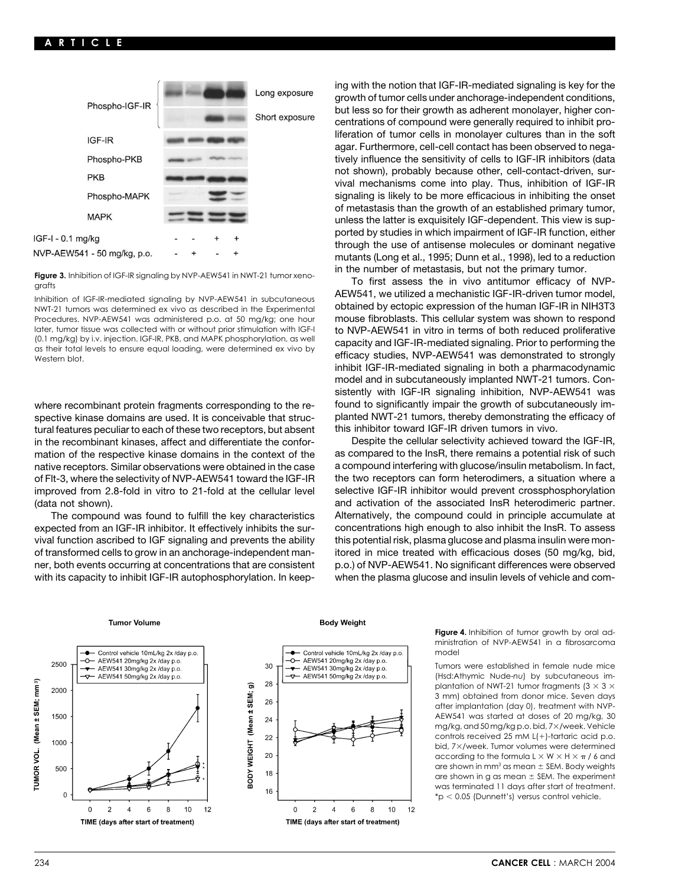

Inhibition of IGF-IR-mediated signaling by NVP-AEW541 in subcutaneous NWT-21 tumors was determined ex vivo as described in the Experimental **obtained by ectopic expression of the human IGF-IR in NIH3T3**<br>Procedures. NVP-AEW541 was administered p.o. at 50 mg/kg; one hour **mouse fibroblasts. Th** later, tumor tissue was collected with or without prior stimulation with IGF-I<br>(0.1 mg/kg) by i.v. injection. IGF-IR, PKB, and MAPK phosphorylation, as well<br>as their total levels to ensure equal loading, were determined ex Western blot levels to enside equal lodding, were determined ex vivo by efficacy studies, NVP-AEW541 was demonstrated to strongly

spective kinase domains are used. It is conceivable that struc-<br>tural features peculiar to each of these two receptors, but absent this inhibitor toward IGF-IR driven tumors in vivo. tural features peculiar to each of these two receptors, but absent this inhibitor toward IGF-IR driven tumors in vivo.<br>in the recombinant kinases, affect and differentiate the confor- Despite the cellular selectivity achie in the recombinant kinases, affect and differentiate the conformation of the respective kinase domains in the context of the as compared to the lnsR, there remains a potential risk of such native receptors. Similar observations were obtained in the case a compound interfering with glucose/insulin metabolism. In fact, and the case a compound interfering with glucose/insulin metabolism. In fact, a situation wh of Flt-3, where the selectivity of NVP-AEW541 toward the IGF-IR improved from 2.8-fold in vitro to 21-fold at the cellular level selective IGF-IR inhibitor would prevent crossphosphorylation (data not shown). and activation of the associated InsR heterodimeric partner.

expected from an IGF-IR inhibitor. It effectively inhibits the sur- concentrations high enough to also inhibit the InsR. To assess vival function ascribed to IGF signaling and prevents the ability this potential risk, plasma glucose and plasma insulin were monof transformed cells to grow in an anchorage-independent man- itored in mice treated with efficacious doses (50 mg/kg, bid, ner, both events occurring at concentrations that are consistent p.o.) of NVP-AEW541. No significant differences were observed

ing with the notion that IGF-IR-mediated signaling is key for the growth of tumor cells under anchorage-independent conditions, but less so for their growth as adherent monolayer, higher concentrations of compound were generally required to inhibit proliferation of tumor cells in monolayer cultures than in the soft agar. Furthermore, cell-cell contact has been observed to negatively influence the sensitivity of cells to IGF-IR inhibitors (data not shown), probably because other, cell-contact-driven, survival mechanisms come into play. Thus, inhibition of IGF-IR signaling is likely to be more efficacious in inhibiting the onset of metastasis than the growth of an established primary tumor, unless the latter is exquisitely IGF-dependent. This view is supported by studies in which impairment of IGF-IR function, either through the use of antisense molecules or dominant negative mutants (Long et al., 1995; Dunn et al., 1998), led to a reduction

Figure 3. Inhibition of IGF-IR signaling by NVP-AEW541 in NWT-21 tumor xeno-<br>grafts **Figure 3.** In the number of metastasis, but not the primary tumor.<br>Labibition of IGF-IR-driven tumor model,<br>labibition of IGF-IR-driven t mouse fibroblasts. This cellular system was shown to respond inhibit IGF-IR-mediated signaling in both a pharmacodynamic model and in subcutaneously implanted NWT-21 tumors. Consistently with IGF-IR signaling inhibition, NVP-AEW541 was where recombinant protein fragments corresponding to the re-<br>spective kinase domains are used. It is conceivable that struc-<br>planted NWT-21 tumors, thereby demonstrating the efficacy of

The compound was found to fulfill the key characteristics Alternatively, the compound could in principle accumulate at with its capacity to inhibit IGF-IR autophosphorylation. In keep- when the plasma glucose and insulin levels of vehicle and com-

### **Tumor Volume**





**Body Weight** 

**Figure 4.** Inhibition of tumor growth by oral administration of NVP-AEW541 in a fibrosarcoma model

Tumors were established in female nude mice (Hsd:Athymic Nude-*nu*) by subcutaneous implantation of NWT-21 tumor fragments ( $3 \times 3 \times$ 3 mm) obtained from donor mice. Seven days after implantation (day 0), treatment with NVP-AEW541 was started at doses of 20 mg/kg, 30 mg/kg, and 50 mg/kg p.o. bid, 7×/week. Vehicle controls received 25 mM  $L(+)$ -tartaric acid p.o. bid, 7×/week. Tumor volumes were determined according to the formula L  $\times$  W  $\times$  H  $\times$   $_{\pi}$  / 6 and are shown in mm<sup>3</sup> as mean  $\pm$  SEM. Body weights are shown in g as mean  $\pm$  SEM. The experiment was terminated 11 days after start of treatment.  $*p < 0.05$  (Dunnett's) versus control vehicle.

### 234 **CANCER CELL** : MARCH 2004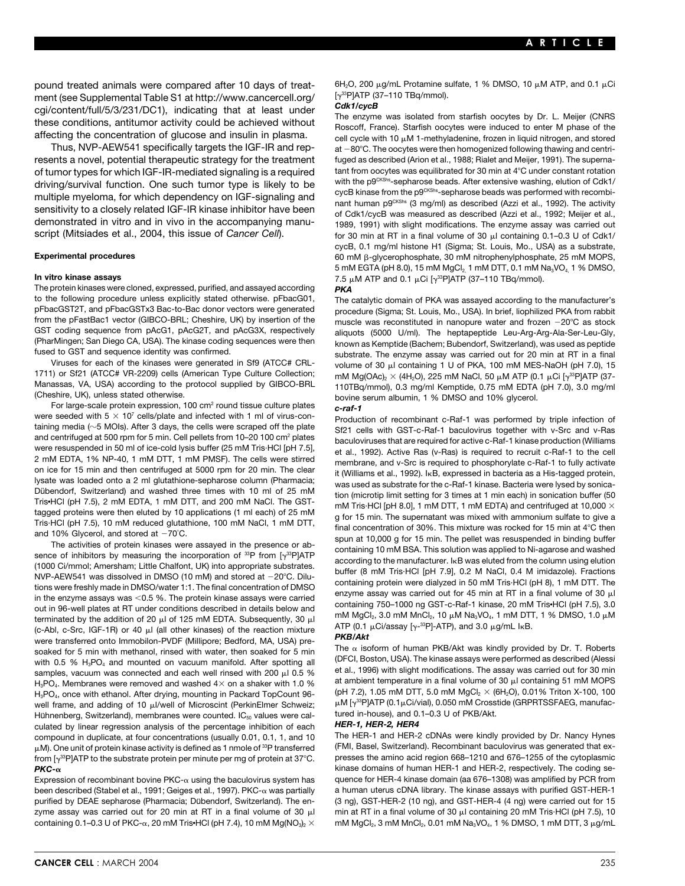ment (see Supplemental Table S1 at http://www.cancercell.org/ [133P]ATP (37–110 Table S1 at http://www.cancercell.org/ P[37–110 Table S1 at http://www.cancercell.org/ P[37–110 Table S1 at http://www.cancercell.org/ Party R

The protein kinases were cloned, expressed, purified, and assayed according **PKA**<br>to the following procedure unless explicitly stated otherwise. pFbacG01, The *i* to the following procedure unless explicitly stated otherwise. pFbacG01, The catalytic domain of PKA was assayed according to the manufacturer's<br>pFbacGST2T, and pFbacGSTx3 Bac-to-Bac donor vectors were generated procedure from the pFastBac1 vector (GIBCO-BRL; Cheshire, UK) by insertion of the muscle was reconstituted in nanopure water and frozen -20°C as stock<br>GST coding sequence from pAcG1, pAcG2T, and pAcG3X, respectively alignots (5000 U GST coding sequence from pAcG1, pAcG2T, and pAcG3X, respectively aliquots (5000 U/ml). The heptapeptide Leu-Arg-Arg-Ala-Ser-Leu-Gly,<br>(PharMingen; San Diego CA, USA). The kinase coding sequences were then known as Kemptide (PharMingen; San Diego CA, USA). The kinase coding sequences were then known as Kemptide (Bachem; Bubendorf, Switzerland), was used as peptide<br>fused to GST and sequence identity was confirmed.

Viruses for each of the kinases were generated in Sf9 (ATCC# CRL-<br>1711) or Sf21 (ATCC# VR-2209) cells (American Type Culture Collection; mM Ma(OAc) x (4H.O) 225 mM NaCl, 50 uM ATP (0.1 uCi [v<sup>33</sup>PIATP (37-1711) or Sf21 (ATCC# VR-2209) cells (American Type Culture Collection; mM Mg(OAc)<sub>2</sub> × (4H<sub>2</sub>O), 225 mM NaCl, 50 µM ATP (0.1 µCi [ $\gamma^{38}$ P]ATP (37-<br>Manassas, VA, USA) according to the protocol supplied by GIBCO-BRL 110TB

were seeded with  $5 \times 10^7$  cells/plate and infected with 1 ml of virus-con-<br>and centrifuged at 500 pm for 5 min. Cell pellets from 10–20 100 cm<sup>2</sup> plates<br>and centrifuged at 500 pm for 5 min. Cell pellets from 10–20 100 c

terminated by the addition of 20  $\mu$  of 125 mM EDTA. Subsequently, 30  $\mu$  mM MgCl<sub>2</sub>, 3.0 mM MnCl<sub>2</sub>, 10  $\mu$ M Na<sub>3</sub>VO<sub>4</sub>, 1 mM D11, 1 % DMSO, 1.0  $\mu$ M<br>(c-Abl, c-Src, IGF-1R) or 40  $\mu$  (all other kinases) of the react soaked for 5 min with methanol, rinsed with water, then soaked for 5 min FIFE a ISOTORM OF NUMAN PKB/AKT was kindly provided by Dr. T. Roberts society of the soaked for 5 min and the soaked for 5 min and the society of the with 0.5 % H<sub>3</sub>PO<sub>4</sub> and mounted on vacuum manifold. After spotting all (DFCI, Boston, USA). The kinase assays were performed as described (Alessi<br>samples, vacuum was connected and each well rinsed with 200 µl 0.5 % et al. H<sub>3</sub>PO<sub>4</sub>. Membranes were removed and washed 4× on a shaker with 1.0 % at ambient temperature in a final volume of 30 µl containing 51 mM MOPS 3PO4. Membranes were removed and washed 4× on a shaker with 1.0 % at ambient te H<sub>3</sub>PO<sub>4</sub>, once with ethanol. After drying, mounting in Packard TopCount 96- (pH 7.2), 1.05 mM DTT, 5.0 mM MgCl<sub>2</sub> × (6H<sub>2</sub>O), 0.01% Triton X-100, 100<br>Well frame, and adding of 10 ul/well of Microscint (PerkinFlmer well frame, and adding of 10 µl/well of Microscint (PerkinElmer Schweiz; µM [y<sup>ss</sup>P]ATP (0.1µCi/vial), 0.050 mM Cross<br>Hühnenberg, Switzerland), membranes were counted, IC<sub>se</sub> values were cal- tured in-house), and 0.1–0.3 U Hühnenberg, Switzerland), membranes were counted. IC<sub>50</sub> values were cal- intered in-house), and 0.<br>Culated by linear regression analysis of the percentage inhibition of each **HER-1, HER-2, HER4** culated by linear regression analysis of the percentage inhibition of each **HER-1, HER-2, HER4**<br>compound in duplicate, at four concentrations (usually 0.01, 0.1, 1, and 10 The HER-1 and HER-2 cDNAs were kindly provided by compound in duplicate, at four concentrations (usually 0.01, 0.1, 1, and 10 The HER-1 and HER-2 cDNAs were kindly provided by Dr. Nancy Hynes<br>u.M. One unit of protein kinase activity is defined as 1 nmole of <sup>33</sup>P transfer μM). One unit of protein kinase activity is defined as 1 nmole of <sup>33</sup>P transferred (FMI, Basel, Switzerland). Recombinant baculovirus was generated that ex-<br>from [γ<sup>33</sup>P]ATP to the substrate protein per minute per mg of from  $[\gamma^{33}P]$ ATP to the substrate protein per minute per mg of protein at 37°C.  $PKC$ - $\alpha$ 

Expression of recombinant bovine PKC- $\alpha$  using the baculovirus system has been described (Stabel et al., 1991; Geiges et al., 1997). PKC-α was partially purified by DEAE sepharose (Pharmacia; Dübendorf, Switzerland). The en- (3 ng), GST-HER-2 (10 ng), and GST-HER-4 (4 ng) were carried out for 15<br>zyme assay was carried out for 20 min at RT in a final volume of 30 μl min at zyme assay was carried out for 20 min at RT in a final volume of 30  $\mu$ l containing 0.1–0.3 U of PKC- $\alpha$ , 20 mM Tris•HCl (pH 7.4), 10 mM Mg(NO<sub>3</sub>)<sub>2</sub>  $\times$ 

pound treated animals were compared after 10 days of treat-<br>ment (see Supplemental Table S1 at http://www.capcercell.org/ [y<sup>33</sup>P]ATP (37-110 TBq/mmol).

cgi/content/full/5/3/231/DC1), indicating that at least under<br>these conditions, antitumor activity could be achieved without<br>affecting the concentration of glucose and insulin in plasma.<br>Thus, NVP-AEW541 specifically targ at  $-80^{\circ}$ C. The oocytes were then homogenized following thawing and centriresents a novel, potential therapeutic strategy for the treatment fuged as described (Arion et al., 1988; Rialet and Meijer, 1991). The superna-<br>of tumor types for which IGF-IR-mediated signaling is a required tant from oo of tumor types for which IGF-IR-mediated signaling is a required tant from oocytes was equilibrated for 30 min at 4°C under constant rotation<br>driving/sunvival function. One such tumor type is likely to be with the p<sup>ockshs</sup> driving/survival function. One such tumor type is likely to be<br>
multiple myeloma, for which dependency on IGF-signaling and<br>
sensitivity to a closely related IGF-IR kinase inhibitor have been<br>
demonstrated in vitro and in for 30 min at RT in a final volume of 30  $\mu$ l containing 0.1–0.3 U of Cdk1/ cycB, 0.1 mg/ml histone H1 (Sigma; St. Louis, Mo., USA) as a substrate, Experimental procedures **Experimental procedures** 60 mM B-glycerophosphate, 30 mM nitrophenylphosphate, 25 mM MOPS, 5 mM EGTA (pH 8.0), 15 mM MgCl<sub>2</sub>, 1 mM DTT, 0.1 mM Na<sub>3</sub>VO<sub>4</sub>, 1 % DMSO, **In vitro kinase assays The state of the state of the state of the state of the STATP (37–110 TBq/mmol).** The state of  $\mu$ Ci  $\mu$ <sup>33</sup>PJATP (37–110 TBq/mmol).

procedure (Sigma; St. Louis, Mo., USA). In brief, liophilized PKA from rabbit d to GST and sequence identity was confirmed. substrate. The enzyme assay was carried out for 20 min at RT in a final<br>Viruses for each of the kinases were generated in Sf9 (ATCC# CRL- solume of 30 ul containing 1 U of PKA, Manassas, VA, USA) according to the protocol supplied by GIBCO-BRL  $\begin{array}{c} \text{(Cheshire, UK)}, \text{unless stated otherwise.} \\ \text{(Cheshire, UK)}, \text{unless stated otherwise.} \\ \text{For large-scale protein expression, 100 cm}^2 \text{round tissue culture plates} \\ \text{were seeded with } 5 \times 10^7 \text{ cells/plate and infected with 1 ml of virus-con-} \\ \end{array}$ 

and 10% Glycerol, and stored at  $-70^{\circ}$ C.<br>
The activities of protein kinases were assayed in the presence or ab-<br>
sence of inhibitors by measuring the incorporation of <sup>33</sup>P from [ $\gamma^{33}$ P]ATP<br>
(1000 Ci/mmol; Amersham;

 kinase domains of human HER-1 and HER-2, respectively. The coding sequence for HER-4 kinase domain (aa 676–1308) was amplified by PCR from a human uterus cDNA library. The kinase assays with purified GST-HER-1 mM  $MgCl<sub>2</sub>$ , 3 mM  $MnCl<sub>2</sub>$ , 0.01 mM Na<sub>3</sub>VO<sub>4</sub>, 1 % DMSO, 1 mM DTT, 3  $\mu$ g/mL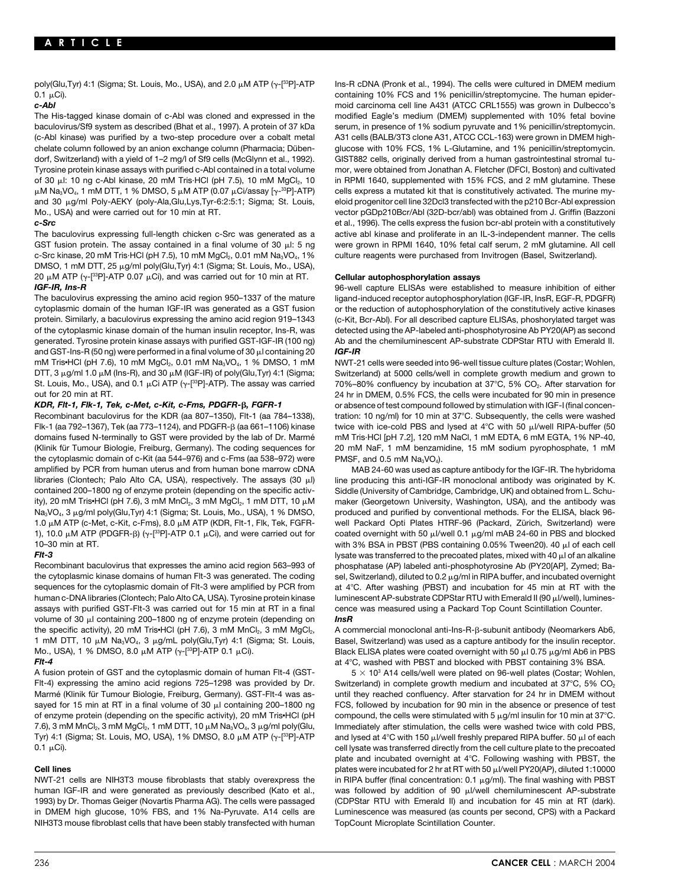0.1 Ci). containing 10% FCS and 1% penicillin/streptomycine. The human epider-

baculovirus/Sf9 system as described (Bhat et al., 1997). A protein of 37 kDa serum, in presence of 1% sodium pyruvate and 1% penicillin/streptomycin. (c-Abl kinase) was purified by a two-step procedure over a cobalt metal A31 cells (BALB/3T3 clone A31, ATCC CCL-163) were grown in DMEM highchelate column followed by an anion exchange column (Pharmacia; Düben- glucose with 10% FCS, 1% L-Glutamine, and 1% penicillin/streptomycin. dorf, Switzerland) with a yield of 1-2 mg/l of Sf9 cells (McGlynn et al., 1992). GIST882 cells, originally derived from a human gastrointestinal stromal tu-Tyrosine protein kinase assays with purified c-Abl contained in a total volume mor, were obtained from Jonathan A. Fletcher (DFCI, Boston) and cultivated of 30 µl: 10 ng c-Abl kinase, 20 mM Tris·HCl (pH 7.5), 10 mM MgCl<sub>2</sub>, 10 in RPMI 1640, supplemented with 15% FCS, and 2 mM glutamine. These  $\mu$ M Na<sub>3</sub>VO<sub>4</sub>, 1 mM DTT, 1 % DMSO, 5  $\mu$ M ATP (0.07  $\mu$ Ci/assay [ $\gamma$ -<sup>33</sup>P]-ATP) cells express a mutated kit that is constitutively activated. The murine myand 30 µg/ml Poly-AEKY (poly-Ala,Glu,Lys,Tyr-6:2:5:1; Sigma; St. Louis, eloid progenitor cell line 32Dcl3 transfected with the p210 Bcr-Abl expression Mo., USA) and were carried out for 10 min at RT. vector pGDp210Bcr/Abl (32D-bcr/abl) was obtained from J. Griffin (Bazzoni

GST fusion protein. The assay contained in a final volume of 30 µl: 5 ng were grown in RPMI 1640, 10% fetal calf serum, 2 mM glutamine. All cell c-Src kinase, 20 mM Tris·HCl (pH 7.5), 10 mM MgCl<sub>2</sub>, 0.01 mM Na<sub>3</sub>VO<sub>4</sub>, 1% culture reagents were purchased from Invitrogen (Basel, Switzerland). DMSO, 1 mM DTT, 25 µg/ml poly(Glu,Tyr) 4:1 (Sigma; St. Louis, Mo., USA), 20  $\mu$ M ATP ( $\gamma$ -[<sup>33</sup>P]-ATP 0.07  $\mu$ Ci), and was carried out for 10 min at RT. **Cellular autophosphorylation assays** 

cytoplasmic domain of the human IGF-IR was generated as a GST fusion or the reduction of autophosphorylation of the constitutively active kinases<br>protein. Similarly, a baculovirus expressing the amino acid region 919–1343 of the cytoplasmic kinase domain of the human insulin receptor, Ins-R, was detected using the AP-labeled anti-phosphotyrosine Ab PY20(AP) as second generated. Tyrosine protein kinase assays with purified GST-IGF-IR (100 ng) Ab and the chemiluminescent AP-substrate CDPStar RTU with Emerald II. and GST-Ins-R (50 ng) were performed in a final volume of 30  $\mu$ l containing 20 **IGF-IR** mM Tris•HCl (pH 7.6), 10 mM MgCl<sub>2</sub>, 0.01 mM Na<sub>3</sub>VO<sub>4</sub>, 1 % DMSO, 1 mM NWT-21 cells were seeded into 96-well tissue culture plates (Costar; Wohlen, DTT, 3 µg/ml 1.0 µM (Ins-R), and 30 µM (IGF-IR) of poly(Glu,Tyr) 4:1 (Sigma; Switzerland) at 5000 cells/well in complete growth medium and grown to St. Louis, Mo., USA), and 0.1 µCi ATP (y-[<sup>33</sup>P]-ATP). The assay was carried 70%–80% confluency by incubation at 37°C, 5% CO<sub>2</sub>. After starvation for

domains fused N-terminally to GST were provided by the lab of Dr. Marmé mM Tris·HCl [pH 7.2], 120 mM NaCl, 1 mM EDTA, 6 mM EGTA, 1% NP-40, (Klinik für Tumour Biologie, Freiburg, Germany). The coding sequences for 20 mM NaF, 1 mM benzamidine, 15 mM sodium pyrophosphate, 1 mM the cytoplasmic domain of c-Kit (aa 544–976) and c-Fms (aa 538–972) were PMSF, and 0.5 mM Na<sub>3</sub>VO<sub>4</sub>).

Recombinant baculovirus that expresses the amino acid region 563–993 of phosphatase (AP) labeled anti-phosphotyrosine Ab (PY20[AP], Zymed; Bathe cytoplasmic kinase domains of human Flt-3 was generated. The coding sel, Switzerland), diluted to 0.2 µg/ml in RIPA buffer, and incubated overnight sequences for the cytoplasmic domain of Flt-3 were amplified by PCR from at 4°C. After washing (PBST) and incubation for 45 min at RT with the human c-DNA libraries (Clontech; Palo Alto CA, USA). Tyrosine protein kinase luminescent AP-substrate CDPStar RTU with Emerald II (90 µ//well), luminesassays with purified GST-Flt-3 was carried out for 15 min at RT in a final cence was measured using a Packard Top Count Scintillation Counter. volume of 30 µl containing 200-1800 ng of enzyme protein (depending on *InsR* the specific activity), 20 mM Tris•HCl (pH 7.6), 3 mM MnCl<sub>2</sub>, 3 mM MgCl<sub>2</sub>, A commercial monoclonal anti-Ins-R-ß-subunit antibody (Neomarkers Ab6, 1 mM DTT, 10  $\mu$ M Na<sub>3</sub>VO<sub>4</sub>, 3  $\mu$ g/mL poly(Glu,Tyr) 4:1 (Sigma; St. Louis, Basel, Switzerland) was used as a capture antibody for the insulin receptor. Mo., USA), 1 % DMSO, 8.0  $\mu$ M ATP ( $\gamma$ -[<sup>33</sup>P]-ATP 0.1  $\mu$ Ci). Black ELISA plates were coated overnight with 50  $\mu$ l 0.75  $\mu$ g/ml Ab6 in PBS

Flt-4) expressing the amino acid regions 725–1298 was provided by Dr. Switzerland) in complete growth medium and incubated at 37°C, 5% CO<sub>2</sub><br>Marmé (Klinik für Tumour Biologie, Freiburg, Germany). GST-Flt-4 was as- until th Marmé (Klinik für Tumour Biologie, Freiburg, Germany). GST-Flt-4 was asof enzyme protein (depending on the specific activity), 20 mM Tris•HCl (pH compound, the cells were stimulated with 5 µg/ml insulin for 10 min at 37°C. 7.6), 3 mM MnCl<sub>2</sub>, 3 mM MgCl<sub>2</sub>, 1 mM DTT, 10  $\mu$ M Na<sub>3</sub>VO<sub>4</sub>, 3  $\mu$ g/ml poly(Glu, Immediately after stimulation, the cells were washed twice with cold PBS, Tyr) 4:1 (Sigma; St. Louis, MO, USA), 1% DMSO, 8.0  $\mu$ M ATP ( $\gamma$ -[<sup>33</sup>P]-ATP and lysed at 4°C with 150  $\mu$ /well freshly prepared RIPA buffer. 50  $\mu$ l of each  $0.1 \mu$ Ci). Ci). Civil under the precoated contract the precoated contract of the precoated culture plate to the precoated

NWT-21 cells are NIH3T3 mouse fibroblasts that stably overexpress the in RIPA buffer (final concentration: 0.1  $\mu$ g/ml). The final washing with PBST human IGF-IR and were generated as previously described (Kato et al., was followed by addition of 90 µl/well chemiluminescent AP-substrate 1993) by Dr. Thomas Geiger (Novartis Pharma AG). The cells were passaged (CDPStar RTU with Emerald II) and incubation for 45 min at RT (dark). in DMEM high glucose, 10% FBS, and 1% Na-Pyruvate. A14 cells are Luminescence was measured (as counts per second, CPS) with a Packard NIH3T3 mouse fibroblast cells that have been stably transfected with human TopCount Microplate Scintillation Counter.

poly(Glu,Tyr) 4:1 (Sigma; St. Louis, Mo., USA), and 2.0 µM ATP ( $\gamma$ -[<sup>33</sup>P]-ATP Ins-R cDNA (Pronk et al., 1994). The cells were cultured in DMEM medium *c-Abl* moid carcinoma cell line A431 (ATCC CRL1555) was grown in Dulbecco's The His-tagged kinase domain of c-Abl was cloned and expressed in the modified Eagle's medium (DMEM) supplemented with 10% fetal bovine *c-Src* et al., 1996). The cells express the fusion bcr-abl protein with a constitutively The baculovirus expressing full-length chicken c-Src was generated as a active abl kinase and proliferate in an IL-3-independent manner. The cells

**IGF-IR, Ins-R 196-Well capture ELISAs** were established to measure inhibition of either The baculovirus expressing the amino acid region 950–1337 of the mature ligand-induced receptor autophosphorylation (IGF-IR, InsR, EGF-R, PDGFR) (c-Kit, Bcr-Abl). For all described capture ELISAs, phoshorylated target was

out for 20 min at RT.<br>**KDR, Fit-1, Fik-1, Tek, c-Met, c-Kit, c-Fms, PDGFR-ß, FGFR-1** 24 hr in DMEM, 0.5% FCS, the cells were incubated for 90 min in presence<br>**KDR, Fit-1, Fik-1, Tek, c-Met, c-Kit, c-Fms, PDGFR-ß, FGFR-1** o *or absence of test compound followed by stimulation with IGF-I (final concen-*Recombinant baculovirus for the KDR (aa 807-1350), Flt-1 (aa 784-1338), tration: 10 ng/ml) for 10 min at 37°C. Subsequently, the cells were washed Flk-1 (aa 792–1367), Tek (aa 773–1124), and PDGFR- $\beta$  (aa 661–1106) kinase twice with ice-cold PBS and lysed at 4°C with 50  $\mu$ //well RIPA-buffer (50

amplified by PCR from human uterus and from human bone marrow cDNA MAB 24-60 was used as capture antibody for the IGF-IR. The hybridoma libraries (Clontech; Palo Alto CA, USA), respectively. The assays (30 μl) line producing this anti-IGF-IR monoclonal antibody was originated by K.<br>contained 200–1800 ng of enzyme protein (depending on the specific activ-S Siddle (University of Cambridge, Cambridge, UK) and obtained from L. Schuity), 20 mM Tris•HCl (pH 7.6), 3 mM MnCl<sub>2</sub>, 3 mM MgCl<sub>2</sub>, 1 mM DTT, 10 μM maker (Georgetown University, Washington, USA), and the antibody was Na<sub>3</sub>VO<sub>4</sub>, 3 μg/ml poly(Glu,Tyr) 4:1 (Sigma; St. Louis, Mo., USA), 1 % DMSO, produced and purified by conventional methods. For the ELISA, black 96-1.0 μM ATP (c-Met, c-Kit, c-Fms), 8.0 μM ATP (KDR, Flt-1, Flk, Tek, FGFR- well Packard Opti Plates HTRF-96 (Packard, Zürich, Switzerland) were 1), 10.0  $\mu$ M ATP (PDGFR- $\beta$ ) ( $\gamma$ -[<sup>33</sup>P]-ATP 0.1  $\mu$ Ci), and were carried out for coated overnight with 50  $\mu$ l/well 0.1  $\mu$ g/ml mAB 24-60 in PBS and blocked 10–30 min at RT. with 3% BSA in PBST (PBS containing 0.05% Tween20). 40 µl of each cell **Fit-3** lysate was transferred to the precoated plates, mixed with 40 µl of an alkaline

**FIt-4 and all and the state of the state of the state of the state of the state of the state of the state of the state of the state of the state of the state of the state of the state of the state of the state of the st** 

A fusion protein of GST and the cytoplasmic domain of human Flt-4 (GST- $\frac{5 \times 10^3 \text{ A14}}{5 \times 10^3 \text{ A14}}$  cells/well were plated on 96-well plates (Costar; Wohlen, sayed for 15 min at RT in a final volume of 30 µl containing 200–1800 ng FCS, followed by incubation for 90 min in the absence or presence of test plate and incubated overnight at 4 C. Following washing with PBST, the **Cell lines Cell lines plates were incubated for 2 hr at RT** with 50  $\mu$ *l*/well PY20(AP), diluted 1:10000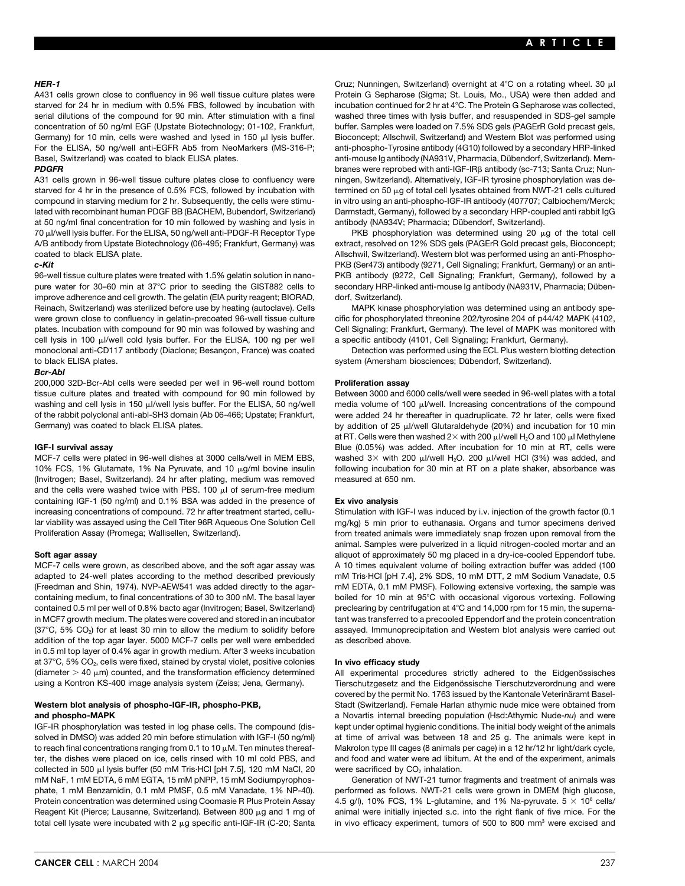starved for 24 hr in medium with 0.5% FBS, followed by incubation with incubation continued for 2 hr at 4°C. The Protein G Sepharose was collected, Basel, Switzerland) was coated to black ELISA plates. **Anti-mouse Ig anti-mouse Ig antibody (NA931V**, Pharmacia, Dübendorf, Switzerland). Mem-

starved for 4 hr in the presence of 0.5% FCS, followed by incubation with termined on 50 µg of total cell lysates obtained from NWT-21 cells cultured compound in starving medium for 2 hr. Subsequently, the cells were stimu- in vitro using an anti-phospho-IGF-IR antibody (407707; Calbiochem/Merck; lated with recombinant human PDGF BB (BACHEM, Bubendorf, Switzerland) Darmstadt, Germany), followed by a secondary HRP-coupled anti rabbit IgG at 50 ng/ml final concentration for 10 min followed by washing and lysis in antibody (NA934V; Pharmacia; Dübendorf, Switzerland). 70 μl/well lysis buffer. For the ELISA, 50 ng/well anti-PDGF-R Receptor Type PKB phosphorylation was determined using 20 μg of the total cell A/B antibody from Upstate Biotechnology (06-495; Frankfurt, Germany) was extract, resolved on 12% SDS gels (PAGErR Gold precast gels, Bioconcept; coated to black ELISA plate. Allschwil, Switzerland). Western blot was performed using an anti-Phospho-

pure water for 30–60 min at 37°C prior to seeding the GIST882 cells to secondary HRP-linked anti-mouse Ig antibody (NA931V, Pharmacia; Dübenimprove adherence and cell growth. The gelatin (EIA purity reagent; BIORAD, dorf, Switzerland). Reinach, Switzerland) was sterilized before use by heating (autoclave). Cells MAPK kinase phosphorylation was determined using an antibody spewere grown close to confluency in gelatin-precoated 96-well tissue culture cific for phosphorylated threonine 202/tyrosine 204 of p44/42 MAPK (4102, plates. Incubation with compound for 90 min was followed by washing and Cell Signaling; Frankfurt, Germany). The level of MAPK was monitored with cell lysis in 100 µl/well cold lysis buffer. For the ELISA, 100 ng per well a specific antibody (4101, Cell Signaling; Frankfurt, Germany). monoclonal anti-CD117 antibody (Diaclone; Besançon, France) was coated Detection was performed using the ECL Plus western blotting detection to black ELISA plates. system (Amersham biosciences; Dübendorf, Switzerland).

### *Bcr-Abl*

200,000 32D-Bcr-Abl cells were seeded per well in 96-well round bottom **Proliferation assay** tissue culture plates and treated with compound for 90 min followed by Between 3000 and 6000 cells/well were seeded in 96-well plates with a total washing and cell lysis in 150 µ//well lysis buffer. For the ELISA, 50 ng/well media volume of 100 µl/well. Increasing concentrations of the compound Germany) was coated to black ELISA plates. by addition of 25 µ/well Glutaraldehyde (20%) and incubation for 10 min

10% FCS, 1% Glutamate, 1% Na Pyruvate, and 10  $\mu$ g/ml bovine insulin following incubation for 30 min at RT on a plate shaker, absorbance was (Invitrogen; Basel, Switzerland). 24 hr after plating, medium was removed measured at 650 nm. and the cells were washed twice with PBS. 100  $\mu$  of serum-free medium containing IGF-1 (50 ng/ml) and 0.1% BSA was added in the presence of **Ex vivo analysis** lar viability was assayed using the Cell Titer 96R Aqueous One Solution Cell mg/kg) 5 min prior to euthanasia. Organs and tumor specimens derived

adapted to 24-well plates according to the method described previously mM Tris·HCl [pH 7.4], 2% SDS, 10 mM DTT, 2 mM Sodium Vanadate, 0.5 (Freedman and Shin, 1974). NVP-AEW541 was added directly to the agar- mM EDTA, 0.1 mM PMSF). Following extensive vortexing, the sample was containing medium, to final concentrations of 30 to 300 nM. The basal layer boiled for 10 min at 95 C with occasional vigorous vortexing. Following contained 0.5 ml per well of 0.8% bacto agar (Invitrogen; Basel, Switzerland) preclearing by centrifugation at 4°C and 14,000 rpm for 15 min, the supernain MCF7 growth medium. The plates were covered and stored in an incubator tant was transferred to a precooled Eppendorf and the protein concentration (37°C, 5% CO<sub>2</sub>) for at least 30 min to allow the medium to solidify before assayed. Immunoprecipitation and Western blot analysis were carried out addition of the top agar layer. 5000 MCF-7 cells per well were embedded as described above. in 0.5 ml top layer of 0.4% agar in growth medium. After 3 weeks incubation at 37 C, 5% CO2, cells were fixed, stained by crystal violet, positive colonies **In vivo efficacy study** (diameter  $>$  40  $\mu$ m) counted, and the transformation efficiency determined All experimental procedures strictly adhered to the Eidgenössisches

solved in DMSO) was added 20 min before stimulation with IGF-I (50 ng/ml) at time of arrival was between 18 and 25 g. The animals were kept in to reach final concentrations ranging from 0.1 to 10  $\mu$ M. Ten minutes thereaf-<br>Makrolon type III cages (8 animals per cage) in a 12 hr/12 hr light/dark cycle, ter, the dishes were placed on ice, cells rinsed with 10 ml cold PBS, and and food and water were ad libitum. At the end of the experiment, animals collected in 500  $\mu$ l lysis buffer (50 mM Tris·HCl [pH 7.5], 120 mM NaCl, 20 were sacrificed by CO<sub>2</sub> inhalation.<br>mM NaF, 1 mM EDTA, 6 mM EGTA, 15 mM pNPP, 15 mM Sodiumpyrophos- Generation of NWT-21 tumor phate, 1 mM Benzamidin, 0.1 mM PMSF, 0.5 mM Vanadate, 1% NP-40). performed as follows. NWT-21 cells were grown in DMEM (high glucose, Protein concentration was determined using Coomasie R Plus Protein Assay  $4.5$  g/l), 10% FCS, 1% L-glutamine, and 1% Na-pyruvate.  $5 \times 10^6$  cells/ Reagent Kit (Pierce; Lausanne, Switzerland). Between 800 µg and 1 mg of animal were initially injected s.c. into the right flank of five mice. For the

**HER-1** Cruz; Nunningen, Switzerland) overnight at 4°C on a rotating wheel. 30 μl A431 cells grown close to confluency in 96 well tissue culture plates were Protein G Sepharose (Sigma; St. Louis, Mo., USA) were then added and serial dilutions of the compound for 90 min. After stimulation with a final washed three times with lysis buffer, and resuspended in SDS-gel sample concentration of 50 ng/ml EGF (Upstate Biotechnology; 01-102, Frankfurt, buffer. Samples were loaded on 7.5% SDS gels (PAGErR Gold precast gels, Germany) for 10 min, cells were washed and lysed in 150 µl lysis buffer. Bioconcept; Allschwil, Switzerland) and Western Blot was performed using For the ELISA, 50 ng/well anti-EGFR Ab5 from NeoMarkers (MS-316-P; anti-phospho-Tyrosine antibody (4G10) followed by a secondary HRP-linked **PDGFR** branes were reprobed with anti-IGF-IRB antibody (sc-713; Santa Cruz; Nun-A31 cells grown in 96-well tissue culture plates close to confluency were ningen, Switzerland). Alternatively, IGF-IR tyrosine phosphorylation was de-

**c-Kit** PKB (Ser473) antibody (9271, Cell Signaling; Frankfurt, Germany) or an anti-96-well tissue culture plates were treated with 1.5% gelatin solution in nano- PKB antibody (9272, Cell Signaling; Frankfurt, Germany), followed by a

of the rabbit polyclonal anti-abl-SH3 domain (Ab 06-466; Upstate; Frankfurt, were added 24 hr thereafter in quadruplicate. 72 hr later, cells were fixed at RT. Cells were then washed  $2 \times$  with 200  $\mu$ I/well H<sub>2</sub>O and 100  $\mu$ I Methylene **IGF-I survival assay Blue (0.05%)** was added. After incubation for 10 min at RT, cells were MCF-7 cells were plated in 96-well dishes at 3000 cells/well in MEM EBS, washed 3× with 200 µl/well H<sub>2</sub>O. 200 µl/well HCl (3%) was added, and

Stimulation with IGF-I was induced by i.v. injection of the growth factor (0.1 Proliferation Assay (Promega; Wallisellen, Switzerland). from treated animals were immediately snap frozen upon removal from the animal. Samples were pulverized in a liquid nitrogen-cooled mortar and an **Soft agar assay being a straight a straight and the set of approximately 50 mg placed in a dry-ice-cooled Eppendorf tube.** MCF-7 cells were grown, as described above, and the soft agar assay was A 10 times equivalent volume of boiling extraction buffer was added (100

using a Kontron KS-400 image analysis system (Zeiss; Jena, Germany). Tierschutzgesetz and the Eidgenössische Tierschutzverordnung and were covered by the permit No. 1763 issued by the Kantonale Veterinäramt Basel-Western blot analysis of phospho-IGF-IR, phospho-PKB, Stadt (Switzerland). Female Harlan athymic nude mice were obtained from **and phospho-MAPK** and **MAPK** a Novartis internal breeding population (Hsd:Athymic Nude-nu) and were IGF-IR phosphorylation was tested in log phase cells. The compound (dis-<br>
IGF-IR phosphorylation was tested in log phase cells. The compound (dis-<br>

Webut the to the optimal hygienic conditions. The the total original hygi

Generation of NWT-21 tumor fragments and treatment of animals was total cell lysate were incubated with 2  $\mu$ g specific anti-IGF-IR (C-20; Santa in vivo efficacy experiment, tumors of 500 to 800 mm<sup>3</sup> were excised and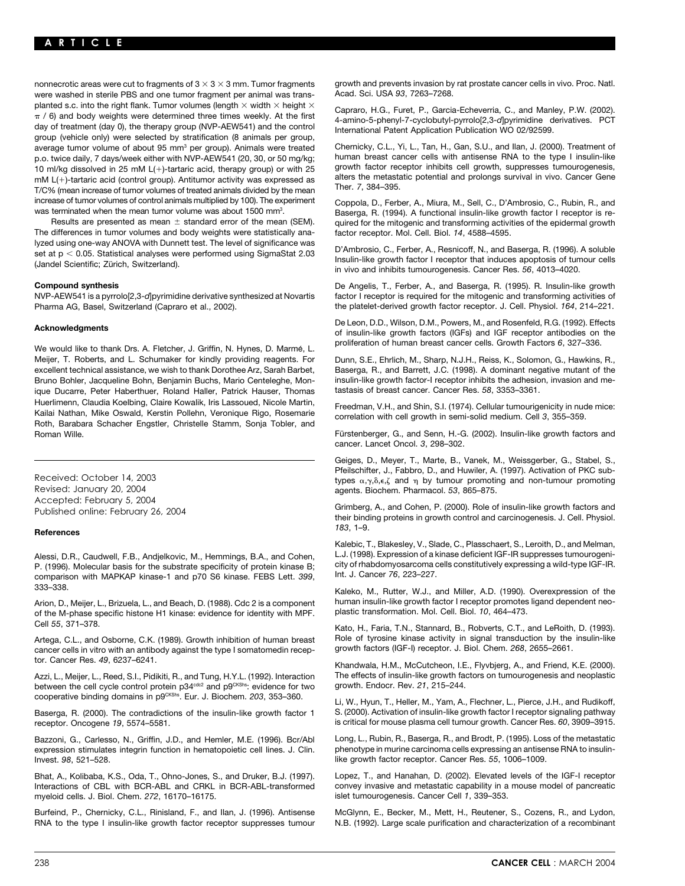were washed in sterile PBS and one tumor fragment per animal was transplanted s.c. into the right flank. Tumor volumes (length  $\times$  width  $\times$  height  $\times$  Capraro, H.G., Furet, P., Garcia-Echeverria, C., and Manley, P.W. (2002).<br>  $\pi$  / 6) and body weights were determined three times weekly day of treatment (day 0), the therapy group (NVP-AEW541) and the control the control the control of the control develops to the control of the control develops in the control develops of the control group, average tumor vo average tumor volume of about 95 mm<sup>3</sup> per group). Animals were treated Chernicky, C.L., Yi, L., Tan, H., Gan, S.U., and Ilan, J. (2000). Treatment of<br>D.O. twice daily 7 days/week either with NVP-AFW541 (20, 30, or 50 mg/k p.o. twice daily, 7 days/week either with NVP-AEW541 (20, 30, or 50 mg/kg; human breast cancer cells with antisense RNA to the type I insulin-like<br>10 ml/kg dissolved in 25 mM L(+)-tartaric acid, therapy group) or with 25 g 10 ml/kg dissolved in 25 mM L(+)-tartaric acid, therapy group) or with 25 growth factor receptor inhibits cell growth, suppresses tumourogenesis, 10 ml/kg dissolved in 25 mM L(+)-tartaric acid (control group) Antitumor act mM L(+)-tartaric acid (control group). Antitumor activity was expressed as alters the metasta<br>T/C% (mean increase of tumor volumes of treated animals divided by the mean Ther. 7, 384–395. increase of tumor volumes of control animals multiplied by 100). The experiment Coppola, D., Ferber, A., Miura, M., Sell, C., D'Ambrosio, C., Rubin, R., and was terminated when the mean tumor volume was about 1500 mm<sup>3</sup>.

The differences in tumor volumes and body weights were statistically ana- factor receptor. Mol. Cell. Biol. *14*, 4588–4595. lyzed using one-way ANOVA with Dunnett test. The level of significance was<br>set at p < 0.05. Statistical analyses were performed using SigmaStat 2.03<br>(Jandel Scientific; Zürich, Switzerland).<br>in vivo and inhibits tumourogen

Pharma AG, Basel, Switzerland (Capraro et al., 2002). the platelet-derived growth factor receptor. J. Cell. Physiol. *164*, 214–221.

We would like to thank Drs. A. Fletcher, J. Griffin, N. Hynes, D. Marmé, L. proliferation of human breast cancer cells. Growth Factors 6, 327–336. Meijer, T. Roberts, and L. Schumaker for kindly providing reagents. For Dunn, S.E., Ehrlich, M., Sharp, N.J.H., Reiss, K., Solomon, G., Hawkins, R.,<br>excellent technical assistance, we wish to thank Dorothee Arz, Sarah Barb excellent technical assistance, we wish to thank Dorothee Arz, Sarah Barbet, Bruno Bohler, Jacqueline Bohn, Benjamin Buchs, Mario Centeleghe, Mon- insulin-like growth factor-I receptor inhibits the adhesion, invasion and meique Ducarre, Peter Haberthuer, Roland Haller, Patrick Hauser, Thomas tastasis of breast cancer. Cancer Res. 58, 3353–3361. Huerlimenn, Claudia Koelbing, Claire Kowalik, Iris Lassoued, Nicole Martin, Freedman, V.H., and Shin, S.I. (1974). Cellular tumourigenicity in nude mice:<br>Kailai Nathan, Mike Oswald, Kerstin Pollehn, Veronique Rigo, Rosemar Roman Wille. The rest of the state of the rest of the rest of the Fundal Senn, H.-G. (2002). Insulin-like growth factors and

Revised: January 20, 2004 agents. Biochem. Pharmacol. *53*, 865–875.

# *<sup>183</sup>*, 1–9. **References**

P. (1996). Molecular basis for the substrate specificity of protein kinase B; city of rhabdomyosarcoma c<br>comparison with MAPKAP kinase-1 and p70.S6 kinase. FEBS Lett. 399. Int. J. Cancer 76, 223–227. comparison with MAPKAP kinase-1 and p70 S6 kinase. FEBS Lett. 399, 333–338. Kaleko, M., Rutter, W.J., and Miller, A.D. (1990). Overexpression of the

of the M-phase specific histone H1 kinase: evidence for identity with MPF.

Artega, C.L., and Osborne, C.K. (1989). Growth inhibition of human breast Bole of tyrosine kinase activity in signal transduction by the cancer cells in vitro with an antibody against the type I somatomedin recep-<br>cancer c cancer cells in vitro with an antibody against the type I somatomedin recep-

between the cell cycle control protein p34<sup>cdc2</sup> and p9<sup>CKShs</sup>: evidence for two<br>cooperative binding domains in p9<sup>CKShs</sup>. Eur. J. Biochem. 203, 353–360.

Baserga, R. (2000). The contradictions of the insulin-like growth factor 1 receptor. Oncogene *19*, 5574–5581. is critical for mouse plasma cell tumour growth. Cancer Res. *60*, 3909–3915.

expression stimulates integrin function in hematopoietic cell lines. J. Clin.<br>Invest. 98. 521-528.

Interactions of CBL with BCR-ABL and CRKL in BCR-ABL-transformed myeloid cells. J. Biol. Chem. 272, 16170–16175. islet tumourogenesis. Cancer Cell 1, 339–353.

nonnecrotic areas were cut to fragments of  $3 \times 3 \times 3$  mm. Tumor fragments growth and prevents invasion by rat prostate cancer cells in vivo. Proc. Natl.<br>were washed in sterile PBS and one tumor fragment per animal was tr

terminated when the mean tumor volume was about 1500 mm<sup>3</sup>. Baserga, R. (1994). A functional insulin-like growth factor I receptor is re-<br>Results are presented as mean  $\pm$  standard error of the mean (SEM). aujred for the quired for the mitogenic and transforming activities of the epidermal growth

**Compound synthesis** De Angelis, T., Ferber, A., and Baserga, R. (1995). R. Insulin-like growth factor I receptor is required for the mitogenic and transforming activities of

De Leon, D.D., Wilson, D.M., Powers, M., and Rosenfeld, R.G. (1992). Effects **Acknowledgments** of insulin-like growth factors (IGFs) and IGF receptor antibodies on the

cancer. Lancet Oncol. *3*, 298–302.

Geiges, D., Meyer, T., Marte, B., Vanek, M., Weissgerber, G., Stabel, S., Pfeilschifter, J., Fabbro, D., and Huwiler, A. (1997). Activation of PKC sub-<br>types  $\alpha, \gamma, \delta, \epsilon, \zeta$  and  $\eta$  by tumour promoting and non-tumour promoting

Accepted: February 5, 2004 Grimberg, A., and Cohen, P. (2000). Role of insulin-like growth factors and Published online: February 26, 2004 their binding proteins in growth control and carcinogenesis. J. Cell. Physiol.

Kalebic, T., Blakesley, V., Slade, C., Plasschaert, S., Leroith, D., and Melman, Alessi, D.R., Caudwell, F.B., Andjelkovic, M., Hemmings, B.A., and Cohen, L.J. (1998). Expression of a kinase deficient IGF-IR suppresses tumourogeni-<br>P. (1996), Molecular basis for the substrate specificity of protein kin

Arion, D., Meijer, L., Brizuela, L., and Beach, D. (1988). Cdc 2 is a component human insulin-like growth factor I receptor promotes ligand dependent neo-<br>Of the M-phase specific histone H1 kinase: evidence for identity wi

Cell *<sup>55</sup>*, 371–378. Kato, H., Faria, T.N., Stannard, B., Robverts, C.T., and LeRoith, D. (1993).

tor. Cancer Res. 49, 6237–6241. Khandwala, H.M., McCutcheon, I.E., Flyvbjerg, A., and Friend, K.E. (2000). Azzi, L., Meijer, L., Reed, S.I., Pidikiti, R., and Tung, H.Y.L. (1992). Interaction The effects of insulin-like growth factors on tumourogenesis and neoplastic<br>between the cell cycle control protein p34<sup>ce2</sup> and p9<sup>ckshs</sup>

Li, W., Hyun, T., Heller, M., Yam, A., Flechner, L., Pierce, J.H., and Rudikoff, S. (2000). Activation of insulin-like growth factor I receptor signaling pathway

Bazzoni, G., Carlesso, N., Griffin, J.D., and Hemler, M.E. (1996). Bcr/Abl Long, L., Rubin, R., Baserga, R., and Brodt, P. (1995). Loss of the metastatic<br>expression stimulates integrin function in hematopoietic cell lines. like growth factor receptor. Cancer Res. 55, 1006–1009.

Bhat, A., Kolibaba, K.S., Oda, T., Ohno-Jones, S., and Druker, B.J. (1997). Lopez, T., and Hanahan, D. (2002). Elevated levels of the IGF-I receptor<br>Interactions of CBL with BCR-ABL and CRKL in BCR-ABL-transformed convey i

Burfeind, P., Chernicky, C.L., Rinisland, F., and Ilan, J. (1996). Antisense McGlynn, E., Becker, M., Mett, H., Reutener, S., Cozens, R., and Lydon, RNA to the type I insulin-like growth factor receptor suppresses tumour N.B. (1992). Large scale purification and characterization of a recombinant